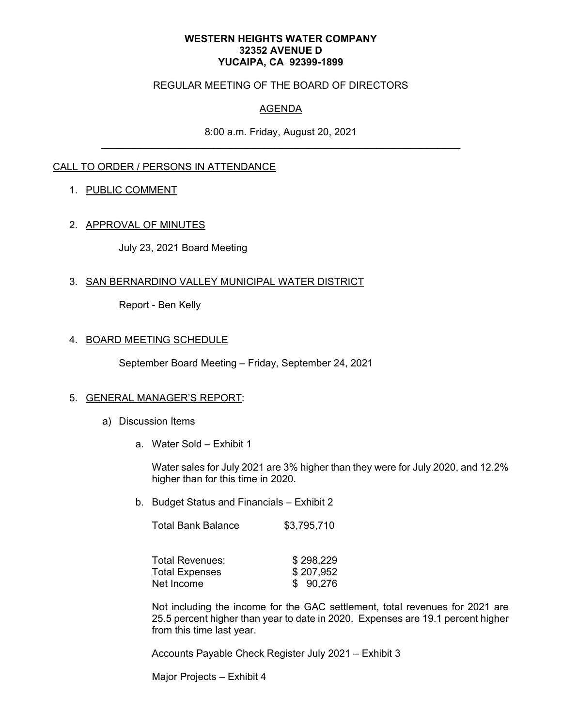#### **WESTERN HEIGHTS WATER COMPANY 32352 AVENUE D YUCAIPA, CA 92399-1899**

### REGULAR MEETING OF THE BOARD OF DIRECTORS

# AGENDA

8:00 a.m. Friday, August 20, 2021

## CALL TO ORDER / PERSONS IN ATTENDANCE

## 1. PUBLIC COMMENT

### 2. APPROVAL OF MINUTES

July 23, 2021 Board Meeting

### 3. SAN BERNARDINO VALLEY MUNICIPAL WATER DISTRICT

Report - Ben Kelly

### 4. BOARD MEETING SCHEDULE

September Board Meeting – Friday, September 24, 2021

#### 5. GENERAL MANAGER'S REPORT:

- a) Discussion Items
	- a. Water Sold Exhibit 1

Water sales for July 2021 are 3% higher than they were for July 2020, and 12.2% higher than for this time in 2020.

b. Budget Status and Financials – Exhibit 2

| <b>Total Bank Balance</b> | \$3,795,710 |
|---------------------------|-------------|
|---------------------------|-------------|

| Total Revenues:       | \$298,229 |
|-----------------------|-----------|
| <b>Total Expenses</b> | \$207,952 |
| Net Income            | \$90,276  |

Not including the income for the GAC settlement, total revenues for 2021 are 25.5 percent higher than year to date in 2020. Expenses are 19.1 percent higher from this time last year.

Accounts Payable Check Register July 2021 – Exhibit 3

Major Projects – Exhibit 4